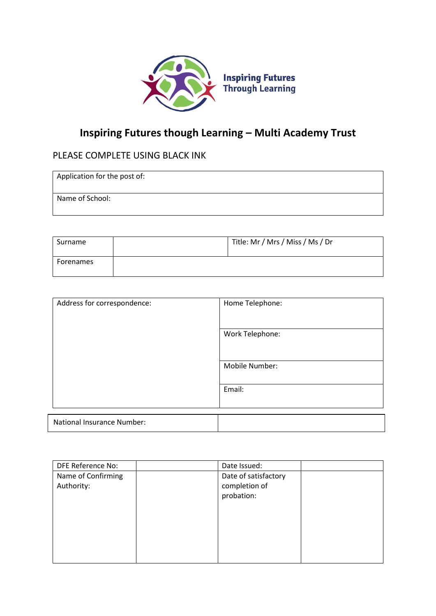

# **Inspiring Futures though Learning – Multi Academy Trust**

## PLEASE COMPLETE USING BLACK INK

| Application for the post of: |  |  |
|------------------------------|--|--|
|------------------------------|--|--|

Name of School:

| Surname   | Title: Mr / Mrs / Miss / Ms / Dr |
|-----------|----------------------------------|
| Forenames |                                  |

| Address for correspondence:       | Home Telephone: |
|-----------------------------------|-----------------|
|                                   | Work Telephone: |
|                                   | Mobile Number:  |
|                                   | Email:          |
| <b>National Insurance Number:</b> |                 |

| DFE Reference No:  | Date Issued:         |
|--------------------|----------------------|
| Name of Confirming | Date of satisfactory |
| Authority:         | completion of        |
|                    | probation:           |
|                    |                      |
|                    |                      |
|                    |                      |
|                    |                      |
|                    |                      |
|                    |                      |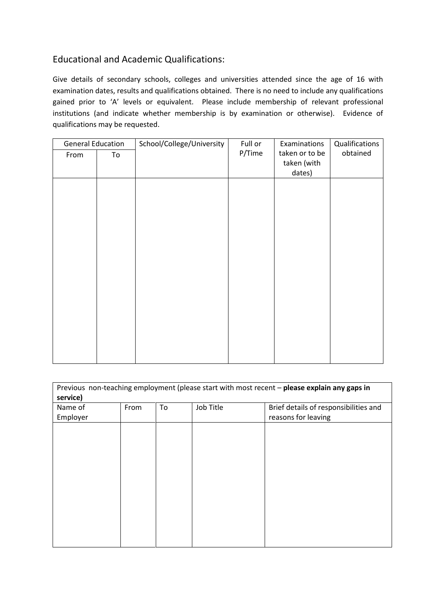## Educational and Academic Qualifications:

Give details of secondary schools, colleges and universities attended since the age of 16 with examination dates, results and qualifications obtained. There is no need to include any qualifications gained prior to 'A' levels or equivalent. Please include membership of relevant professional institutions (and indicate whether membership is by examination or otherwise). Evidence of qualifications may be requested.

| <b>General Education</b> |    | School/College/University | Full or | Examinations   | Qualifications |
|--------------------------|----|---------------------------|---------|----------------|----------------|
| From                     | To |                           | P/Time  | taken or to be | obtained       |
|                          |    |                           |         | taken (with    |                |
|                          |    |                           |         | dates)         |                |
|                          |    |                           |         |                |                |
|                          |    |                           |         |                |                |
|                          |    |                           |         |                |                |
|                          |    |                           |         |                |                |
|                          |    |                           |         |                |                |
|                          |    |                           |         |                |                |
|                          |    |                           |         |                |                |
|                          |    |                           |         |                |                |
|                          |    |                           |         |                |                |
|                          |    |                           |         |                |                |
|                          |    |                           |         |                |                |
|                          |    |                           |         |                |                |
|                          |    |                           |         |                |                |
|                          |    |                           |         |                |                |
|                          |    |                           |         |                |                |
|                          |    |                           |         |                |                |
|                          |    |                           |         |                |                |
|                          |    |                           |         |                |                |
|                          |    |                           |         |                |                |

| Previous non-teaching employment (please start with most recent - please explain any gaps in<br>service) |      |    |           |                                       |  |  |  |  |  |
|----------------------------------------------------------------------------------------------------------|------|----|-----------|---------------------------------------|--|--|--|--|--|
| Name of                                                                                                  | From | To | Job Title | Brief details of responsibilities and |  |  |  |  |  |
| Employer                                                                                                 |      |    |           | reasons for leaving                   |  |  |  |  |  |
|                                                                                                          |      |    |           |                                       |  |  |  |  |  |
|                                                                                                          |      |    |           |                                       |  |  |  |  |  |
|                                                                                                          |      |    |           |                                       |  |  |  |  |  |
|                                                                                                          |      |    |           |                                       |  |  |  |  |  |
|                                                                                                          |      |    |           |                                       |  |  |  |  |  |
|                                                                                                          |      |    |           |                                       |  |  |  |  |  |
|                                                                                                          |      |    |           |                                       |  |  |  |  |  |
|                                                                                                          |      |    |           |                                       |  |  |  |  |  |
|                                                                                                          |      |    |           |                                       |  |  |  |  |  |
|                                                                                                          |      |    |           |                                       |  |  |  |  |  |
|                                                                                                          |      |    |           |                                       |  |  |  |  |  |
|                                                                                                          |      |    |           |                                       |  |  |  |  |  |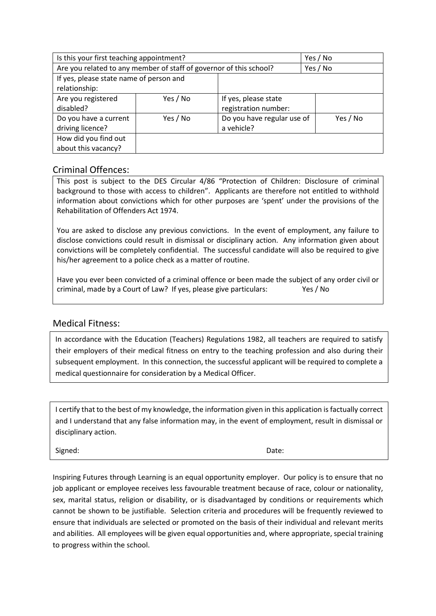| Is this your first teaching appointment?                 |                                                                    | Yes / No                                     |          |
|----------------------------------------------------------|--------------------------------------------------------------------|----------------------------------------------|----------|
|                                                          | Are you related to any member of staff of governor of this school? |                                              | Yes / No |
| If yes, please state name of person and<br>relationship: |                                                                    |                                              |          |
| Are you registered<br>disabled?                          | Yes / No                                                           | If yes, please state<br>registration number: |          |
| Do you have a current<br>driving licence?                | Yes / No                                                           | Do you have regular use of<br>a vehicle?     | Yes / No |
| How did you find out<br>about this vacancy?              |                                                                    |                                              |          |

#### Criminal Offences:

This post is subject to the DES Circular 4/86 "Protection of Children: Disclosure of criminal background to those with access to children". Applicants are therefore not entitled to withhold information about convictions which for other purposes are 'spent' under the provisions of the Rehabilitation of Offenders Act 1974.

You are asked to disclose any previous convictions. In the event of employment, any failure to disclose convictions could result in dismissal or disciplinary action. Any information given about convictions will be completely confidential. The successful candidate will also be required to give his/her agreement to a police check as a matter of routine.

Have you ever been convicted of a criminal offence or been made the subject of any order civil or criminal, made by a Court of Law? If yes, please give particulars: Yes / No

#### Medical Fitness:

In accordance with the Education (Teachers) Regulations 1982, all teachers are required to satisfy their employers of their medical fitness on entry to the teaching profession and also during their subsequent employment. In this connection, the successful applicant will be required to complete a medical questionnaire for consideration by a Medical Officer.

I certify that to the best of my knowledge, the information given in this application is factually correct and I understand that any false information may, in the event of employment, result in dismissal or disciplinary action.

Signed: **Date:** Date: **Date:** Date: **Date:** Partnerships: **Date:** Partnerships: **Date:** Partnerships: **Date:** Partnerships: **Date:** Partnerships: **Date:** Partnerships: Partnerships: Partnerships: Partnerships: Partnerships

Inspiring Futures through Learning is an equal opportunity employer. Our policy is to ensure that no job applicant or employee receives less favourable treatment because of race, colour or nationality, sex, marital status, religion or disability, or is disadvantaged by conditions or requirements which cannot be shown to be justifiable. Selection criteria and procedures will be frequently reviewed to ensure that individuals are selected or promoted on the basis of their individual and relevant merits and abilities. All employees will be given equal opportunities and, where appropriate, special training to progress within the school.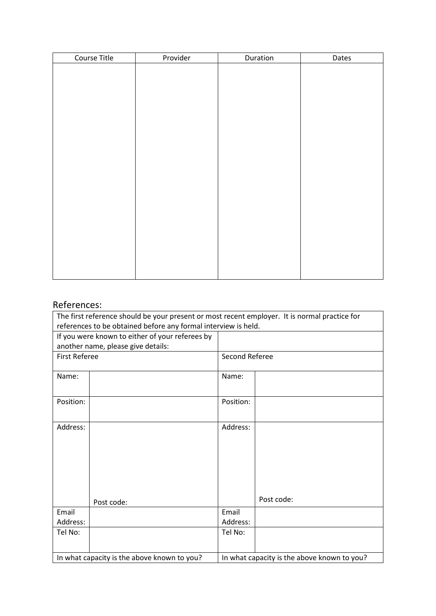| Course Title | Provider | Duration | Dates |
|--------------|----------|----------|-------|
|              |          |          |       |
|              |          |          |       |
|              |          |          |       |
|              |          |          |       |
|              |          |          |       |
|              |          |          |       |
|              |          |          |       |
|              |          |          |       |
|              |          |          |       |
|              |          |          |       |
|              |          |          |       |
|              |          |          |       |
|              |          |          |       |
|              |          |          |       |
|              |          |          |       |
|              |          |          |       |
|              |          |          |       |
|              |          |          |       |
|              |          |          |       |
|              |          |          |       |
|              |          |          |       |

# References:

| The first reference should be your present or most recent employer. It is normal practice for |                                                 |                |                                             |  |  |  |  |
|-----------------------------------------------------------------------------------------------|-------------------------------------------------|----------------|---------------------------------------------|--|--|--|--|
| references to be obtained before any formal interview is held.                                |                                                 |                |                                             |  |  |  |  |
|                                                                                               | If you were known to either of your referees by |                |                                             |  |  |  |  |
|                                                                                               | another name, please give details:              |                |                                             |  |  |  |  |
| <b>First Referee</b>                                                                          |                                                 | Second Referee |                                             |  |  |  |  |
|                                                                                               |                                                 |                |                                             |  |  |  |  |
| Name:                                                                                         |                                                 | Name:          |                                             |  |  |  |  |
|                                                                                               |                                                 |                |                                             |  |  |  |  |
| Position:                                                                                     |                                                 | Position:      |                                             |  |  |  |  |
|                                                                                               |                                                 |                |                                             |  |  |  |  |
| Address:                                                                                      |                                                 | Address:       |                                             |  |  |  |  |
|                                                                                               |                                                 |                |                                             |  |  |  |  |
|                                                                                               |                                                 |                |                                             |  |  |  |  |
|                                                                                               |                                                 |                |                                             |  |  |  |  |
|                                                                                               |                                                 |                |                                             |  |  |  |  |
|                                                                                               |                                                 |                |                                             |  |  |  |  |
|                                                                                               |                                                 |                |                                             |  |  |  |  |
|                                                                                               | Post code:                                      |                | Post code:                                  |  |  |  |  |
| Email                                                                                         |                                                 | Email          |                                             |  |  |  |  |
| Address:                                                                                      |                                                 | Address:       |                                             |  |  |  |  |
| Tel No:                                                                                       |                                                 | Tel No:        |                                             |  |  |  |  |
|                                                                                               |                                                 |                |                                             |  |  |  |  |
|                                                                                               | In what capacity is the above known to you?     |                | In what capacity is the above known to you? |  |  |  |  |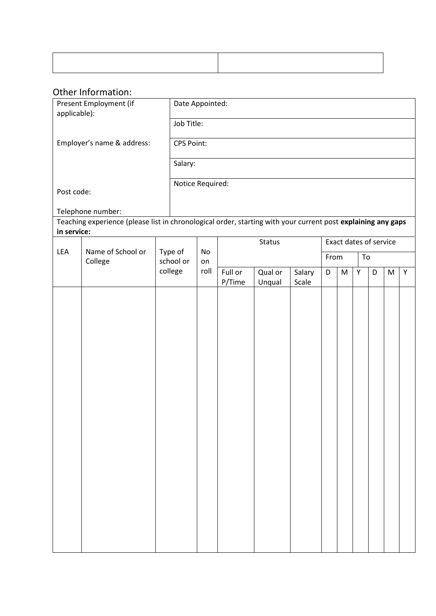# Other Information:

| applicable): | Present Employment (if                                                                                                            | Date Appointed:   |            |                   |                   |                 |            |                        |   |   |   |   |
|--------------|-----------------------------------------------------------------------------------------------------------------------------------|-------------------|------------|-------------------|-------------------|-----------------|------------|------------------------|---|---|---|---|
|              |                                                                                                                                   |                   | Job Title: |                   |                   |                 |            |                        |   |   |   |   |
|              | Employer's name & address:                                                                                                        | <b>CPS Point:</b> |            |                   |                   |                 |            |                        |   |   |   |   |
|              |                                                                                                                                   | Salary:           |            |                   |                   |                 |            |                        |   |   |   |   |
|              |                                                                                                                                   | Notice Required:  |            |                   |                   |                 |            |                        |   |   |   |   |
| Post code:   |                                                                                                                                   |                   |            |                   |                   |                 |            |                        |   |   |   |   |
|              | Telephone number:<br>Teaching experience (please list in chronological order, starting with your current post explaining any gaps |                   |            |                   |                   |                 |            |                        |   |   |   |   |
| in service:  |                                                                                                                                   |                   |            |                   |                   |                 |            |                        |   |   |   |   |
| LEA          | Name of School or                                                                                                                 | Type of           | No         |                   | Status            |                 |            | Exact dates of service |   |   |   |   |
|              | College                                                                                                                           | school or         | on         |                   |                   |                 | From<br>To |                        |   |   |   |   |
|              |                                                                                                                                   | college           | roll       | Full or<br>P/Time | Qual or<br>Unqual | Salary<br>Scale | D          | M                      | Y | D | M | Y |
|              |                                                                                                                                   |                   |            |                   |                   |                 |            |                        |   |   |   |   |
|              |                                                                                                                                   |                   |            |                   |                   |                 |            |                        |   |   |   |   |
|              |                                                                                                                                   |                   |            |                   |                   |                 |            |                        |   |   |   |   |
|              |                                                                                                                                   |                   |            |                   |                   |                 |            |                        |   |   |   |   |
|              |                                                                                                                                   |                   |            |                   |                   |                 |            |                        |   |   |   |   |
|              |                                                                                                                                   |                   |            |                   |                   |                 |            |                        |   |   |   |   |
|              |                                                                                                                                   |                   |            |                   |                   |                 |            |                        |   |   |   |   |
|              |                                                                                                                                   |                   |            |                   |                   |                 |            |                        |   |   |   |   |
|              |                                                                                                                                   |                   |            |                   |                   |                 |            |                        |   |   |   |   |
|              |                                                                                                                                   |                   |            |                   |                   |                 |            |                        |   |   |   |   |
|              |                                                                                                                                   |                   |            |                   |                   |                 |            |                        |   |   |   |   |
|              |                                                                                                                                   |                   |            |                   |                   |                 |            |                        |   |   |   |   |
|              |                                                                                                                                   |                   |            |                   |                   |                 |            |                        |   |   |   |   |
|              |                                                                                                                                   |                   |            |                   |                   |                 |            |                        |   |   |   |   |
|              |                                                                                                                                   |                   |            |                   |                   |                 |            |                        |   |   |   |   |
|              |                                                                                                                                   |                   |            |                   |                   |                 |            |                        |   |   |   |   |
|              |                                                                                                                                   |                   |            |                   |                   |                 |            |                        |   |   |   |   |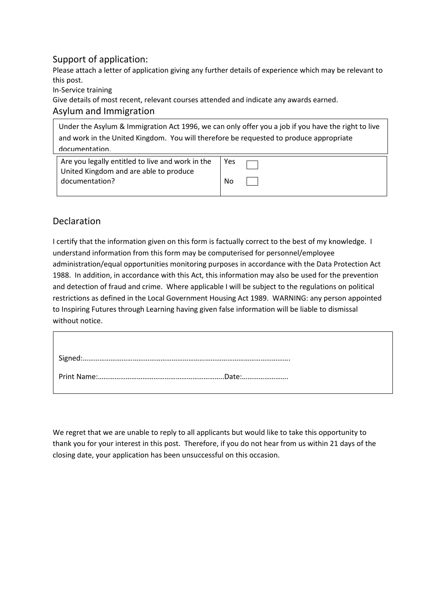## Support of application:

Please attach a letter of application giving any further details of experience which may be relevant to this post.

In-Service training

Give details of most recent, relevant courses attended and indicate any awards earned.

#### Asylum and Immigration

| Under the Asylum & Immigration Act 1996, we can only offer you a job if you have the right to live |  |  |  |  |  |  |
|----------------------------------------------------------------------------------------------------|--|--|--|--|--|--|
| and work in the United Kingdom. You will therefore be requested to produce appropriate             |  |  |  |  |  |  |
| documentation                                                                                      |  |  |  |  |  |  |
| Are you legally entitled to live and work in the<br>Yes                                            |  |  |  |  |  |  |
| United Kingdom and are able to produce                                                             |  |  |  |  |  |  |
| documentation?<br>No                                                                               |  |  |  |  |  |  |

## Declaration

I certify that the information given on this form is factually correct to the best of my knowledge. I understand information from this form may be computerised for personnel/employee administration/equal opportunities monitoring purposes in accordance with the Data Protection Act 1988. In addition, in accordance with this Act, this information may also be used for the prevention and detection of fraud and crime. Where applicable I will be subject to the regulations on political restrictions as defined in the Local Government Housing Act 1989. WARNING: any person appointed to Inspiring Futures through Learning having given false information will be liable to dismissal without notice.

We regret that we are unable to reply to all applicants but would like to take this opportunity to thank you for your interest in this post. Therefore, if you do not hear from us within 21 days of the closing date, your application has been unsuccessful on this occasion.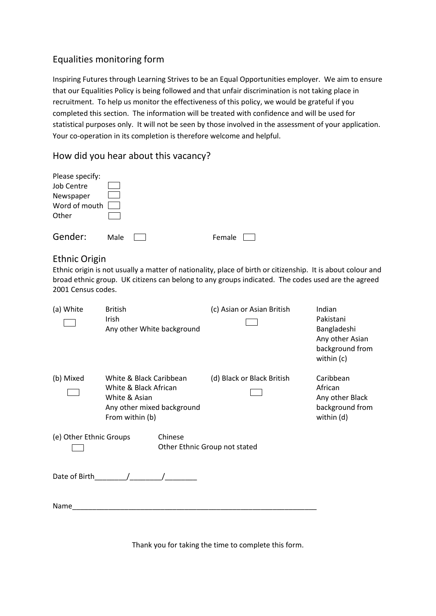## Equalities monitoring form

Inspiring Futures through Learning Strives to be an Equal Opportunities employer. We aim to ensure that our Equalities Policy is being followed and that unfair discrimination is not taking place in recruitment. To help us monitor the effectiveness of this policy, we would be grateful if you completed this section. The information will be treated with confidence and will be used for statistical purposes only. It will not be seen by those involved in the assessment of your application. Your co-operation in its completion is therefore welcome and helpful.

How did you hear about this vacancy?

| Please specify: |      |  |        |  |
|-----------------|------|--|--------|--|
| Job Centre      |      |  |        |  |
| Newspaper       |      |  |        |  |
| Word of mouth   |      |  |        |  |
| Other           |      |  |        |  |
| Gender:         | Male |  | Female |  |

#### Ethnic Origin

Ethnic origin is not usually a matter of nationality, place of birth or citizenship. It is about colour and broad ethnic group. UK citizens can belong to any groups indicated. The codes used are the agreed 2001 Census codes.

| (a) White               | <b>British</b><br>Irish<br>Any other White background                                                              |                                          | (c) Asian or Asian British | Indian<br>Pakistani<br>Bangladeshi<br>Any other Asian<br>background from<br>within (c) |
|-------------------------|--------------------------------------------------------------------------------------------------------------------|------------------------------------------|----------------------------|----------------------------------------------------------------------------------------|
| (b) Mixed               | White & Black Caribbean<br>White & Black African<br>White & Asian<br>Any other mixed background<br>From within (b) |                                          | (d) Black or Black British | Caribbean<br>African<br>Any other Black<br>background from<br>within (d)               |
| (e) Other Ethnic Groups |                                                                                                                    | Chinese<br>Other Ethnic Group not stated |                            |                                                                                        |
| Date of Birth           |                                                                                                                    |                                          |                            |                                                                                        |
| Name                    |                                                                                                                    |                                          |                            |                                                                                        |

Thank you for taking the time to complete this form.